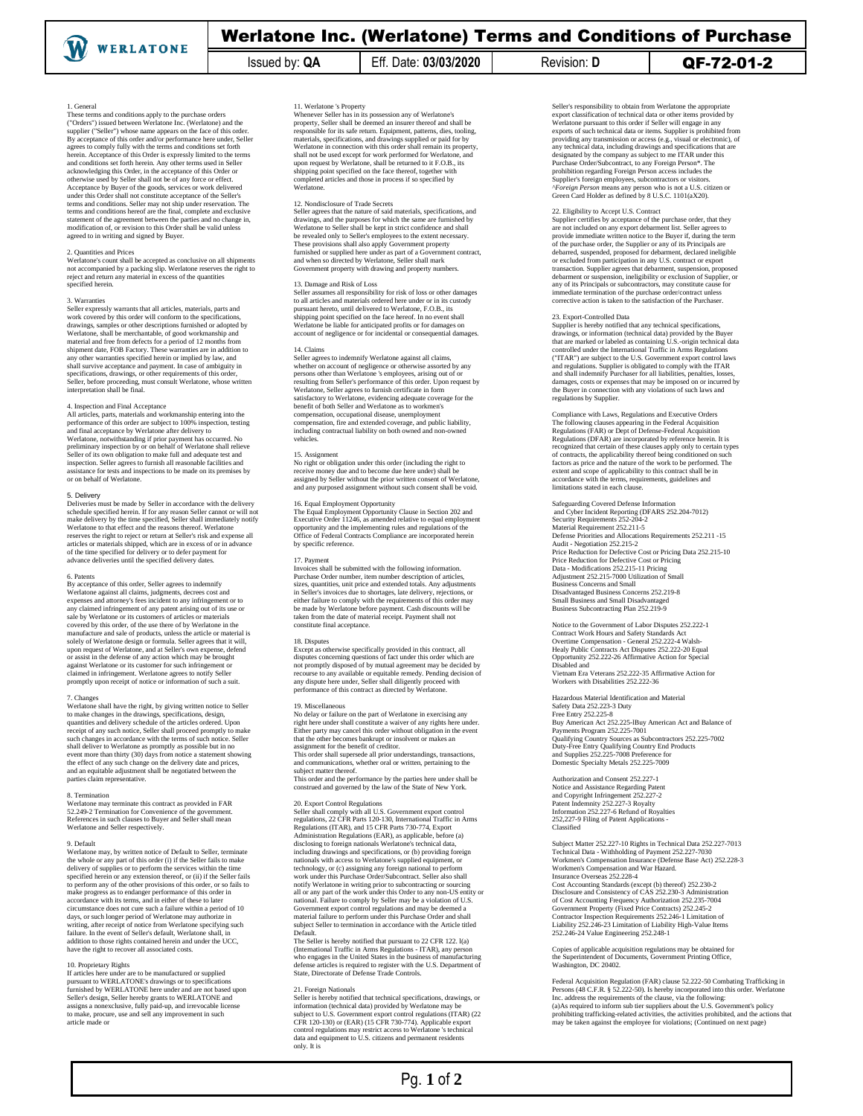# Werlatone Inc. (Werlatone) Terms and Conditions of Purchase

Issued by: **QA** Eff. Date: **03/03/2020** Revision: **D** QF-72-01-2

# 1. General

These terms and conditions apply to the purchase orders ("Orders") issued between Werlatone Inc. (Werlatone) and the supplier ("Seller") whose name appears on the face of this order. By acceptance of this order and/or performance here under, Seller agrees to comply fully with the terms and conditions set forth herein. Acceptance of this Order is expressly limited to the terms<br>and conditions set forth herein. Any other terms used in Seller<br>acknowledging this Order, in the acceptance of this Order or<br>otherwise used by Seller shall Acceptance by Buyer of the goods, services or work delivered<br>under this Order shall not constitute acceptance of the Seller's<br>terms and conditions. Seller may not ship under reservation. The<br>terms and conditions hereof are agreed to in writing and signed by Buyer.

## 2. Quantities and Prices

Werlatone's count shall be accepted as conclusive on all shipments not accompanied by a packing slip. Werlatone reserves the right to reject and return any material in excess of the quantities ecified herein.

### 3. Warranties

Seller expressly warrants that all articles, materials, parts and work covered by this order will conform to the specifications, drawings, samples or other descriptions furnished or adopted by<br>Werlatone, shall be menchantable, of good workmanship and<br>material and free from defects for a period of 12 months from<br>shipment date, FOB Factory. These warr shall survive acceptance and payment. In case of ambiguity in specifications, drawings, or other requirements of this order, Seller, before proceeding, must consult Werlatone, whose written interpretation shall be final.

4. Inspection and Final Acceptance All articles, parts, materials and workmanship entering into the performance of this order are subject to 100% inspection, testing<br>and final acceptance by Werlatone after delivery to<br>Werlatone, notwithstanding if prior payment has occurred. No<br>preliminary inspection by or on behalf of W Seller of its own obligation to make full and adequate test and inspection. Seller agrees to furnish all reasonable facilities and assistance for tests and inspections to be made on its premises by or on behalf of Werlatone.

# 5. Delivery

Deliveries must be made by Seller in accordance with the delivery<br>schedule specified herein. If for any reason Seller cannot or will not<br>make delivery by the time specified, Seller shall immediately notify<br>werlatone to tha of the time specified for delivery or to defer payment for advance deliveries until the specified delivery dates.

6. Patents By acceptance of this order, Seller agrees to indemnify Werlatone against all claims, judgments, decrees cost and<br>expenses and attomey's fees incident to any infringement or to<br>any claimed infringement of any patent arising out of its use or<br>sale by Werlatone or its customers o manufacture and sale of products, unless the article or material is solely of Werlatone design or formula. Seller agrees that it will, upon request of Werlatone, and at Seller's own expense, defend<br>or assist in the defense of any action which may be brought<br>against Werlatone or its customer for such infringement or<br>claimed in infringement. Werlatore agree

7. Changes Werlatone shall have the right, by giving written notice to Seller to make changes in the drawings, specifications, design, quantities and delivery schedule of the articles ordered. Upon receipt of any such notice, Seller shall proceed promptly to make<br>such changes in accordance with the terms of such notice. Seller<br>shall deliver to Werlatone as promptly as possible but in no<br>event more than thirty (30) da

## 8. Termination

Werlatone may terminate this contract as provided in FAR 52.249-2 Termination for Convenience of the government. References in such clauses to Buyer and Seller shall mean Werlatone and Seller respectively.

9. Default Werlatone may, by written notice of Default to Seller, terminate the whole or any part of this order (i) if the Seller fails to make delivery of supplies or to perform the services within the time<br>specified herein or any extension thereof, or (ii) if the Seller fails<br>to perform any of the other provisions of this order, or so fails to<br>make progress as t days, or such longer period of Werlatone may authorize in<br>writing, after receipt of notice from Werlatone specifying such<br>failure. In the event of Seller's default, Werlatone shall, in<br>addition to those rights contained he

10. Proprietary Rights If articles here under are to be manufactured or supplied pursuant to WERLATONE's drawings or to specifications furnished by WERLATONE here under and are not based upon Seller's design, Seller hereby grants to WERLATONE and assigns a nonexclusive, fully paid-up, and irrevocable license to make, procure, use and sell any improvement in such article made or

11. Werlatone 's Property Whenever Seller has in its possession any of Werlatone's property, Seller shall be deemed an insurer thereof and shall be responsible for its safe return. Equipment, patterns, dies, tooling, materials, specifications, and drawings supplied or paid for by Werlatone in connection with this order shall remain its property, shall not be used except for work performed for Werlatone, and<br>upon request by Werlatone, shall be returned to it F.O.B., its<br>shipping point specified on the face thereof, together with<br>completed articles and those in proc

### 12. Nondisclosure of Trade Secrets

Seller agrees that the nature of said materials, specifications, and drawings, and the purposes for which the same are furnished by Werlatone to Seller shall be kept in strict confidence and shall be revealed only to Seller's employees to the extent necessary.<br>These provisions shall also apply Government property<br>furnished or supplied here under as part of a Government contract,<br>and when so directed by Werlatone, Se Government property with drawing and property numbers.

13. Damage and Risk of Loss<br>Seller assumes all responsibility for risk of loss or other damages<br>to all articles and materials ordered here under or in its custody<br>pursuant hereto, until delivered to Werlatone, F.O.B., its<br>

# 14. Claims

Seller agrees to indemnify Werlatone against all claims, whether on account of ngligence or otherwise assorted by any<br>persons other than Werlatone's employees, arising out of or<br>resulting from Seller's performance of this order. Upon request by<br>Werlatone, Seller agrees to furnis compensation, fire and extended coverage, and public liability, including contractual liability on both owned and non-owned vehicles.

15. Assignment No right or obligation under this order (including the right to receive money due and to become due here under) shall be assigned by Seller without the prior written consent of Werlatone, and any purposed assignment without such consent shall be void.

16. Equal Employment Opportunity<br>The Equal Employment Opportunity Clause in Section 202 and<br>Executive Order 11246, as amended relative to equal employment<br>opportunity and the implementing rules and regulations of the<br>Offic by specific reference.

17. Payment<br>Invoices shall be submitted with the following information Invoices shall be submitted with the following information.<br>Purchase Order number, item number description of articles,<br>sizes, quantities, unit price and extended totals. Any adjustments<br>in Seller's invoices due to shortag either failure to comply with the requirements of this order may be made by Werlatone before payment. Cash discounts will be taken from the date of material receipt. Payment shall not commune date of maximum

# 18. Disputes

Except as otherwise specifically provided in this contract, all<br>disputes concerning questions of fact under this order which are<br>not promptly disposed of by mutual agreement may be decided by<br>recourse to any available or e performance of this contract as directed by Werlatone.

### 19. Miscellaneous

No delay or failure on the part of Werlatone in exercising any right here under shall constitute a waiver of any rights here under.<br>Either party may cancel this order without obligation in the event<br>that the other becomes bankrupt or insolvent or makes an<br>assignment for the benefit of

subject matter thereof. This order and the performance by the parties here under shall be

construed and governed by the law of the State of New York.

20. Export Control Regulations Seller shall comply with all U.S. Government export control regulations, 22 CFR Parts 120-130, International Traffic in Arms Regulations (ITAR), and 15 CFR Parts 730-774, Export<br>Administration Regulations (EAR), as applicable, before (a)<br>disclosing to foreign nationals Werlatone's technical data,<br>disclosing drawings and specifications, or (b) pr technology, or (c) assigning any foreign national to perform work under this Purchase Order/Subcontract. Seller also shall<br>notify Werlatone in writing prior to subcontracting or sourcing<br>all or any part of the work under this Order to any non-US entity or<br>antional. Failure to comply

The Seller is hereby notified that pursuant to 22 CFR 122. I(a)<br>(International Traffic in Arms Regulations - ITAR), any person<br>who engages in the United States in the business of manufacturing defense articles is required to register with the U.S. Department of State, Directorate of Defense Trade Controls.

21. Foreign Nationals<br>Seller is bereby notified that technical specifications, drawings, or<br>solient is bereby notified that technical operations may be<br>subject to U.S. Government export control regulations (ITAR) (22)<br>CFR

Seller's responsibility to obtain from Werlatone the appropriate<br>export classification of technical data or other items provided by<br>Werlatone pursuant to this order if Seller will engage in any<br>exports of such technical da providing any transmission or access (e.g., visual or electronic), of<br>any technical data, including drawings and specifications that are<br>designated by the company as subject to me ITAR under this<br>Purchase Order/Subcontract *^Foreign Person* means any person who is not a U.S. citizen or Green Card Holder as defined by 8 U.S.C. 1101(aX20).

22. Eligibility to Accept U.S. Contract Supplier certifies by acceptance of the purchase order, that they are not included on any export debarment list. Seller agrees to provide immediate written notice to the Buyer if, during the term<br>of the purchase order, the Supplier or any of its Principals are<br>debarred, suspended, proposed for debarment, declared ineligible<br>or excluded from participa transaction. Supplier agrees that debarment, suspension, proposed<br>debarment or suspension, ineligibility or exclusion of Supplier, or<br>any of its Principals or subcontractors, may constitute cause for<br>immediate termination

# 23. Export-Controlled Data

Supplier is hereby notified that any technical specifications drawings, or information (technical data) provided by the Buyer<br>that are marked or labeled as containing U.S.-origin technical data<br>controlled under the Intenational Traffic in Arms Regulations<br>("ITAR") are subject to the and regulations. Supplier is obligated to comply with the ITAR<br>and shall indemnify Purchaser for all liabilities, penalites, losses,<br>damages, costs or expenses that may be imposed on or incurred by<br>the Buyer in connection

Compliance with Laws, Regulations and Executive Orders The following clauses appearing in the Federal Acquisition<br>Regulations (FAR) or Dept of Defense-Federal Acquisition<br>Regulations (DFAR) are incorporated by reference herein. It is<br>recognized that certain of these clauses ap extent and scope of applicability to this contract shall be in accordance with the terms, requirements, guidelines and limitations stated in each clause.

Safeguarding Covered Defense Information and Cyber Incident Reporting (DFARS 252.204-7012) Security Requirements 252-204-2 Material Requirement 252.211-5 Defense Priorities and Allocations Requirements 252.211 -15 Audit - Negotiation 252.215-2 Price Reduction for Defective Cost or Pricing Data 252.215-10 Price Reduction for Defective Cost or Pricing Data - Modifications 252.215-11 Pricing Adjustment 252.215-7000 Utilization of Small Business Concerns and Small Disadvantaged Business Concerns 252.219-8 Small Business and Small Disadvantaged Business Subcontracting Plan 252.219-9

Notice to the Government of Labor Disputes 252.222-1 Contract Work Hours and Safety Standards Act Overtime Compensation - General 252.222-4 Walsh-Healy Public Contracts Act Disputes 252.222-20 Equal Opportunity 252.222-26 Affirmative Action for Special Disabled and Vietnam Era Veterans 252.222-35 Affirmative Action for Workers with Disabilities 252.222-36

Hazardous Material Identification and Material Safety Data 252.223-3 Duty Free Entry 252.225-8 Buy American Act 252.225-lBuy American Act and Balance of Payments Program 252.225-7001 Qualifying Country Sources as Subcontractors 252.225-7002 Duty-Free Entry Qualifying Country End Products and Supplies 252.225-7008 Preference for Domestic Specialty Metals 252.225-7009

Authorization and Consent 252.227-1 Notice and Assistance Regarding Patent<br>
and Copyright Infringement 252.227-2<br>
Patent Indemnity 252.227-3 Royalty<br>
Information 252.227-6 Refund of Royalties<br>
252,227-9 Filing of Patent Applications -Classified

Subject Matter 252.227-10 Rights in Technical Data 252.227-7013 Technical Data - Withholding of Payment 252.227-7030 Workmen's Compensation Insurance (Defense Base Act) 252.228-3 Workmen's Compensation and War Hazard. Insurance Overseas 252.228-4

Cost Accounting Shandards (except (b) thereof) 252.230-2<br>Disclosure and Consistency of CAS 252.230-3 Administration<br>of Cost Accounting Frequency Authorization 252.235-7004<br>Government Property (Fixed Price Contracts) 252.24

Copies of applicable acquisition regulations may be obtained for the Superintendent of Documents, Government Printing Office, Washington, DC 20402.

Federal Acquisition Regulation (FAR) clause 52.222-50 Combating Trafficking in Persons (48 C.F.R. § 52.222-50). Is hereby incorporated into this order. Werlatone Inc. address the requirements of the clause, via the followi